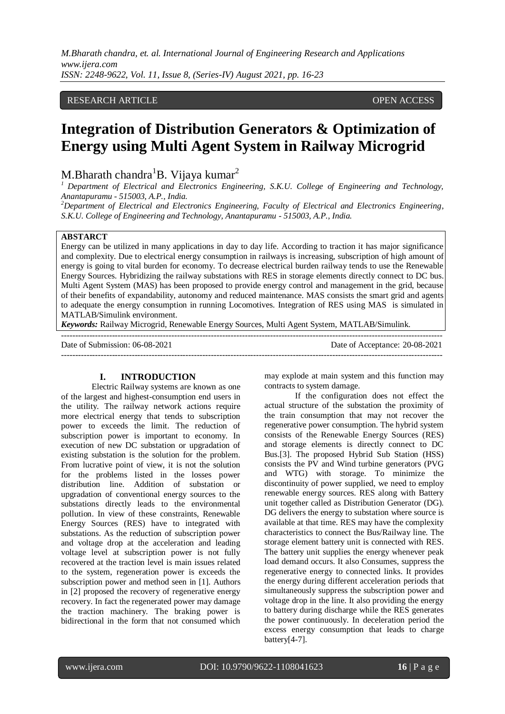# RESEARCH ARTICLE **CONTRACT ARTICLE** AND A SERVICE OPEN ACCESS OPEN ACCESS

# **Integration of Distribution Generators & Optimization of Energy using Multi Agent System in Railway Microgrid**

M.Bharath chandra<sup>1</sup>B. Vijaya kumar<sup>2</sup>

<sup>1</sup> Department of Electrical and Electronics Engineering, S.K.U. College of Engineering and Technology, *Anantapuramu - 515003, A.P., India.*

*<sup>2</sup>Department of Electrical and Electronics Engineering, Faculty of Electrical and Electronics Engineering, S.K.U. College of Engineering and Technology, Anantapuramu - 515003, A.P., India.*

#### **ABSTARCT**

Energy can be utilized in many applications in day to day life. According to traction it has major significance and complexity. Due to electrical energy consumption in railways is increasing, subscription of high amount of energy is going to vital burden for economy. To decrease electrical burden railway tends to use the Renewable Energy Sources. Hybridizing the railway substations with RES in storage elements directly connect to DC bus. Multi Agent System (MAS) has been proposed to provide energy control and management in the grid, because of their benefits of expandability, autonomy and reduced maintenance. MAS consists the smart grid and agents to adequate the energy consumption in running Locomotives. Integration of RES using MAS is simulated in MATLAB/Simulink environment.

*Keywords:* Railway Microgrid, Renewable Energy Sources, Multi Agent System, MATLAB/Simulink.

---------------------------------------------------------------------------------------------------------------------------------------

---------------------------------------------------------------------------------------------------------------------------------------

Date of Submission: 06-08-2021 Date of Acceptance: 20-08-2021

#### **I. INTRODUCTION**

Electric Railway systems are known as one of the largest and highest-consumption end users in the utility. The railway network actions require more electrical energy that tends to subscription power to exceeds the limit. The reduction of subscription power is important to economy. In execution of new DC substation or upgradation of existing substation is the solution for the problem. From lucrative point of view, it is not the solution for the problems listed in the losses power distribution line. Addition of substation or upgradation of conventional energy sources to the substations directly leads to the environmental pollution. In view of these constraints, Renewable Energy Sources (RES) have to integrated with substations. As the reduction of subscription power and voltage drop at the acceleration and leading voltage level at subscription power is not fully recovered at the traction level is main issues related to the system, regeneration power is exceeds the subscription power and method seen in [1]. Authors in [2] proposed the recovery of regenerative energy recovery. In fact the regenerated power may damage the traction machinery. The braking power is bidirectional in the form that not consumed which may explode at main system and this function may contracts to system damage.

If the configuration does not effect the actual structure of the substation the proximity of the train consumption that may not recover the regenerative power consumption. The hybrid system consists of the Renewable Energy Sources (RES) and storage elements is directly connect to DC Bus.[3]. The proposed Hybrid Sub Station (HSS) consists the PV and Wind turbine generators (PVG and WTG) with storage. To minimize the discontinuity of power supplied, we need to employ renewable energy sources. RES along with Battery unit together called as Distribution Generator (DG). DG delivers the energy to substation where source is available at that time. RES may have the complexity characteristics to connect the Bus/Railway line. The storage element battery unit is connected with RES. The battery unit supplies the energy whenever peak load demand occurs. It also Consumes, suppress the regenerative energy to connected links. It provides the energy during different acceleration periods that simultaneously suppress the subscription power and voltage drop in the line. It also providing the energy to battery during discharge while the RES generates the power continuously. In deceleration period the excess energy consumption that leads to charge battery[4-7].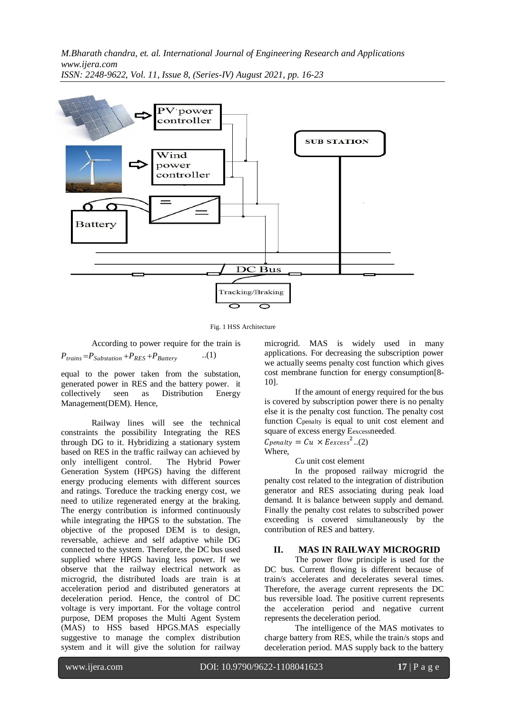

Fig. 1 HSS Architecture

According to power require for the train is

 $P_{\text{trans}} = P_{\text{Substation}} + P_{\text{RES}} + P_{\text{Battery}}$  ..(1)

equal to the power taken from the substation, generated power in RES and the battery power. it collectively seen as Distribution Energy Management(DEM). Hence,

Railway lines will see the technical constraints the possibility Integrating the RES through DG to it. Hybridizing a stationary system based on RES in the traffic railway can achieved by only intelligent control. The Hybrid Power Generation System (HPGS) having the different energy producing elements with different sources and ratings. Toreduce the tracking energy cost, we need to utilize regenerated energy at the braking. The energy contribution is informed continuously while integrating the HPGS to the substation. The objective of the proposed DEM is to design, reversable, achieve and self adaptive while DG connected to the system. Therefore, the DC bus used supplied where HPGS having less power. If we observe that the railway electrical network as microgrid, the distributed loads are train is at acceleration period and distributed generators at deceleration period. Hence, the control of DC voltage is very important. For the voltage control purpose, DEM proposes the Multi Agent System (MAS) to HSS based HPGS.MAS especially suggestive to manage the complex distribution system and it will give the solution for railway microgrid. MAS is widely used in many applications. For decreasing the subscription power we actually seems penalty cost function which gives cost membrane function for energy consumption[8- 10].

If the amount of energy required for the bus is covered by subscription power there is no penalty else it is the penalty cost function. The penalty cost function Cpenalty is equal to unit cost element and square of excess energy Eexcessneeded.

 $\mathcal{L}$  penalty =  $\mathcal{L}u \times \mathcal{L}$  excess<sup>2</sup>..(2) Where.

*Cu* unit cost element

In the proposed railway microgrid the penalty cost related to the integration of distribution generator and RES associating during peak load demand. It is balance between supply and demand. Finally the penalty cost relates to subscribed power exceeding is covered simultaneously by the contribution of RES and battery.

### **II. MAS IN RAILWAY MICROGRID**

The power flow principle is used for the DC bus. Current flowing is different because of train/s accelerates and decelerates several times. Therefore, the average current represents the DC bus reversible load. The positive current represents the acceleration period and negative current represents the deceleration period.

The intelligence of the MAS motivates to charge battery from RES, while the train/s stops and deceleration period. MAS supply back to the battery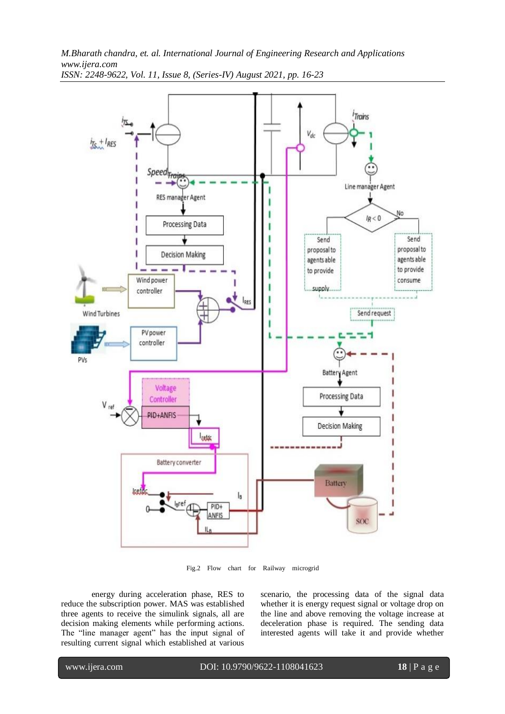*M.Bharath chandra, et. al. International Journal of Engineering Research and Applications www.ijera.com*



*ISSN: 2248-9622, Vol. 11, Issue 8, (Series-IV) August 2021, pp. 16-23*

Fig.2 Flow chart for Railway microgrid

energy during acceleration phase, RES to reduce the subscription power. MAS was established three agents to receive the simulink signals, all are decision making elements while performing actions. The "line manager agent" has the input signal of resulting current signal which established at various

scenario, the processing data of the signal data whether it is energy request signal or voltage drop on the line and above removing the voltage increase at deceleration phase is required. The sending data interested agents will take it and provide whether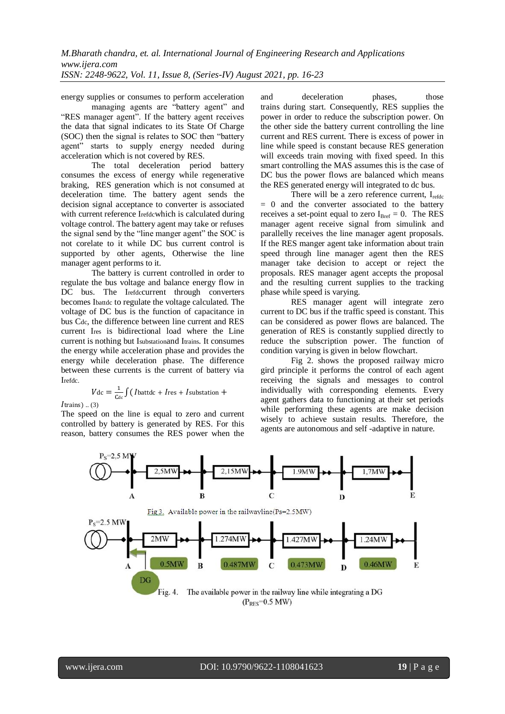energy supplies or consumes to perform acceleration and deceleration phases, those

managing agents are "battery agent" and "RES manager agent". If the battery agent receives the data that signal indicates to its State Of Charge (SOC) then the signal is relates to SOC then "battery agent" starts to supply energy needed during acceleration which is not covered by RES.

The total deceleration period battery consumes the excess of energy while regenerative braking, RES generation which is not consumed at deceleration time. The battery agent sends the decision signal acceptance to converter is associated with current reference Irefdcwhich is calculated during voltage control. The battery agent may take or refuses the signal send by the "line manger agent" the SOC is not corelate to it while DC bus current control is supported by other agents, Otherwise the line manager agent performs to it.

The battery is current controlled in order to regulate the bus voltage and balance energy flow in DC bus. The Irefdccurrent through converters becomes Ibattdc to regulate the voltage calculated. The voltage of DC bus is the function of capacitance in bus Cdc, the difference between line current and RES current Ires is bidirectional load where the Line current is nothing but Isubstationand Itrains. It consumes the energy while acceleration phase and provides the energy while deceleration phase. The difference between these currents is the current of battery via Irefdc.

$$
V_{\text{dc}} = \frac{1}{C_{\text{dc}}} \int (I_{\text{battdc}} + I_{\text{res}} + I_{\text{substation}} +
$$

*I*trains) .. (3)

The speed on the line is equal to zero and current controlled by battery is generated by RES. For this reason, battery consumes the RES power when the

trains during start. Consequently, RES supplies the power in order to reduce the subscription power. On the other side the battery current controlling the line current and RES current. There is excess of power in line while speed is constant because RES generation will exceeds train moving with fixed speed. In this smart controlling the MAS assumes this is the case of DC bus the power flows are balanced which means the RES generated energy will integrated to dc bus.

There will be a zero reference current,  $I_{refdc}$  $= 0$  and the converter associated to the battery receives a set-point equal to zero  $I_{\text{Bref}} = 0$ . The RES manager agent receive signal from simulink and parallelly receives the line manager agent proposals. If the RES manger agent take information about train speed through line manager agent then the RES manager take decision to accept or reject the proposals. RES manager agent accepts the proposal and the resulting current supplies to the tracking phase while speed is varying.

RES manager agent will integrate zero current to DC bus if the traffic speed is constant. This can be considered as power flows are balanced. The generation of RES is constantly supplied directly to reduce the subscription power. The function of condition varying is given in below flowchart.

Fig 2. shows the proposed railway micro gird principle it performs the control of each agent receiving the signals and messages to control individually with corresponding elements. Every agent gathers data to functioning at their set periods while performing these agents are make decision wisely to achieve sustain results. Therefore, the agents are autonomous and self -adaptive in nature.

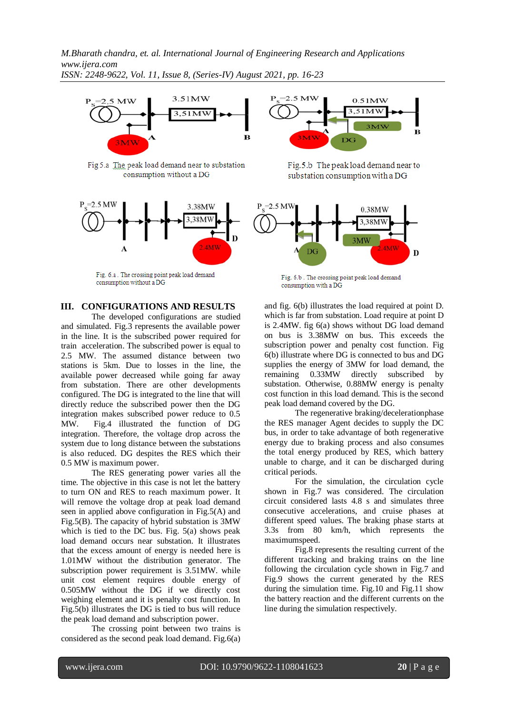

Fig 5.a The peak load demand near to substation consumption without a DG



Fig. 6.a. The crossing point peak load demand consumption without a DG

### **III. CONFIGURATIONS AND RESULTS**

The developed configurations are studied and simulated. Fig.3 represents the available power in the line. It is the subscribed power required for train acceleration. The subscribed power is equal to 2.5 MW. The assumed distance between two stations is 5km. Due to losses in the line, the available power decreased while going far away from substation. There are other developments configured. The DG is integrated to the line that will directly reduce the subscribed power then the DG integration makes subscribed power reduce to 0.5 MW. Fig.4 illustrated the function of DG integration. Therefore, the voltage drop across the system due to long distance between the substations is also reduced. DG despites the RES which their 0.5 MW is maximum power.

The RES generating power varies all the time. The objective in this case is not let the battery to turn ON and RES to reach maximum power. It will remove the voltage drop at peak load demand seen in applied above configuration in Fig.5(A) and Fig.5(B). The capacity of hybrid substation is 3MW which is tied to the DC bus. Fig. 5(a) shows peak load demand occurs near substation. It illustrates that the excess amount of energy is needed here is 1.01MW without the distribution generator. The subscription power requirement is 3.51MW. while unit cost element requires double energy of 0.505MW without the DG if we directly cost weighing element and it is penalty cost function. In Fig.5(b) illustrates the DG is tied to bus will reduce the peak load demand and subscription power.

The crossing point between two trains is considered as the second peak load demand. Fig.6(a)



Fig.5.b The peak load demand near to substation consumption with a DG



Fig. 6.b. The crossing point peak load demand consumption with a DG

and fig. 6(b) illustrates the load required at point D. which is far from substation. Load require at point D is 2.4MW. fig 6(a) shows without DG load demand on bus is 3.38MW on bus. This exceeds the subscription power and penalty cost function. Fig 6(b) illustrate where DG is connected to bus and DG supplies the energy of 3MW for load demand, the remaining 0.33MW directly subscribed by substation. Otherwise, 0.88MW energy is penalty cost function in this load demand. This is the second peak load demand covered by the DG.

The regenerative braking/decelerationphase the RES manager Agent decides to supply the DC bus, in order to take advantage of both regenerative energy due to braking process and also consumes the total energy produced by RES, which battery unable to charge, and it can be discharged during critical periods.

For the simulation, the circulation cycle shown in Fig.7 was considered. The circulation circuit considered lasts 4.8 s and simulates three consecutive accelerations, and cruise phases at different speed values. The braking phase starts at 3.3s from 80 km/h, which represents the maximumspeed.

Fig.8 represents the resulting current of the different tracking and braking trains on the line following the circulation cycle shown in Fig.7 and Fig.9 shows the current generated by the RES during the simulation time. Fig.10 and Fig.11 show the battery reaction and the different currents on the line during the simulation respectively.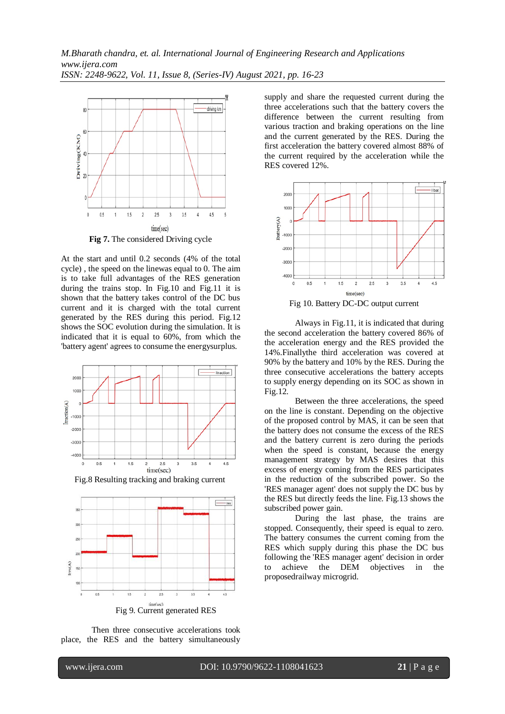

**Fig 7.** The considered Driving cycle

At the start and until 0.2 seconds (4% of the total cycle) , the speed on the linewas equal to 0. The aim is to take full advantages of the RES generation during the trains stop. In Fig.10 and Fig.11 it is shown that the battery takes control of the DC bus current and it is charged with the total current generated by the RES during this period. Fig.12 shows the SOC evolution during the simulation. It is indicated that it is equal to 60%, from which the 'battery agent' agrees to consume the energysurplus.



Fig.8 Resulting tracking and braking current



Then three consecutive accelerations took place, the RES and the battery simultaneously supply and share the requested current during the three accelerations such that the battery covers the difference between the current resulting from various traction and braking operations on the line and the current generated by the RES. During the first acceleration the battery covered almost 88% of the current required by the acceleration while the RES covered 12%.



Fig 10. Battery DC-DC output current

Always in Fig.11, it is indicated that during the second acceleration the battery covered 86% of the acceleration energy and the RES provided the 14%.Finallythe third acceleration was covered at 90% by the battery and 10% by the RES. During the three consecutive accelerations the battery accepts to supply energy depending on its SOC as shown in Fig.12.

Between the three accelerations, the speed on the line is constant. Depending on the objective of the proposed control by MAS, it can be seen that the battery does not consume the excess of the RES and the battery current is zero during the periods when the speed is constant, because the energy management strategy by MAS desires that this excess of energy coming from the RES participates in the reduction of the subscribed power. So the 'RES manager agent' does not supply the DC bus by the RES but directly feeds the line. Fig.13 shows the subscribed power gain.

During the last phase, the trains are stopped. Consequently, their speed is equal to zero. The battery consumes the current coming from the RES which supply during this phase the DC bus following the 'RES manager agent' decision in order to achieve the DEM objectives in the proposedrailway microgrid.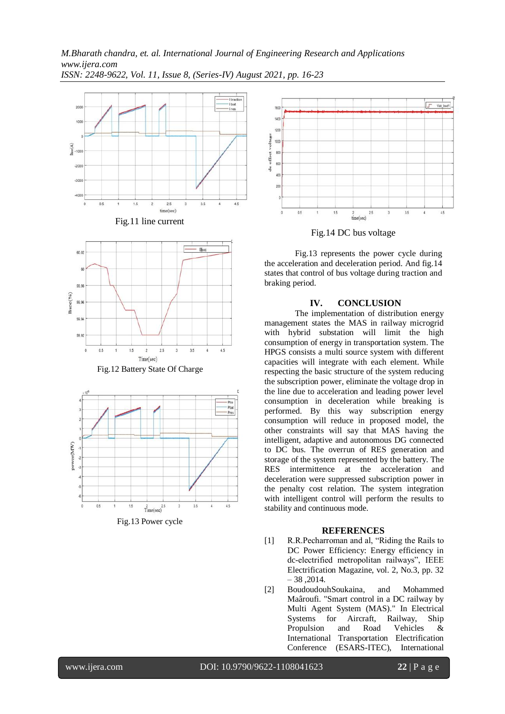



Fig.13 Power cycle



Fig.14 DC bus voltage

Fig.13 represents the power cycle during the acceleration and deceleration period. And fig.14 states that control of bus voltage during traction and braking period.

# **IV. CONCLUSION**

The implementation of distribution energy management states the MAS in railway microgrid with hybrid substation will limit the high consumption of energy in transportation system. The HPGS consists a multi source system with different capacities will integrate with each element. While respecting the basic structure of the system reducing the subscription power, eliminate the voltage drop in the line due to acceleration and leading power level consumption in deceleration while breaking is performed. By this way subscription energy consumption will reduce in proposed model, the other constraints will say that MAS having the intelligent, adaptive and autonomous DG connected to DC bus. The overrun of RES generation and storage of the system represented by the battery. The RES intermittence at the acceleration and deceleration were suppressed subscription power in the penalty cost relation. The system integration with intelligent control will perform the results to stability and continuous mode.

### **REFERENCES**

- [1] R.R.Pecharroman and al, "Riding the Rails to DC Power Efficiency: Energy efficiency in dc-electrified metropolitan railways", IEEE Electrification Magazine, vol. 2, No.3, pp. 32  $-38,2014.$
- [2] BoudoudouhSoukaina, and Mohammed Maâroufi. "Smart control in a DC railway by Multi Agent System (MAS)." In Electrical Systems for Aircraft, Railway, Ship Propulsion and Road Vehicles & International Transportation Electrification Conference (ESARS-ITEC), International

www.ijera.com DOI: 10.9790/9622-1108041623 **22** | P a g e